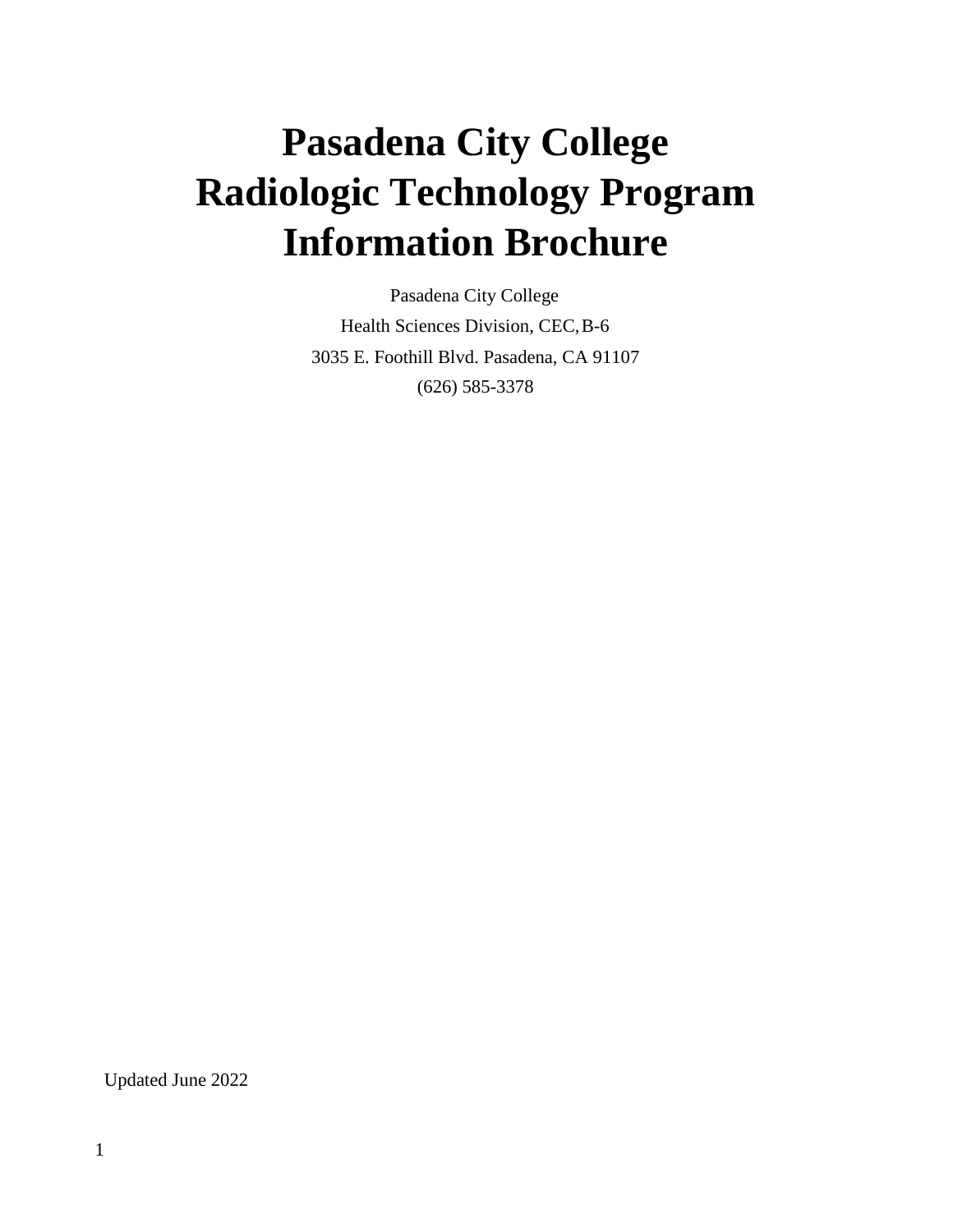# **Pasadena City College Radiologic Technology Program Information Brochure**

Pasadena City College Health Sciences Division, CEC,B-6 3035 E. Foothill Blvd. Pasadena, CA 91107 (626) 585-3378

Updated June 2022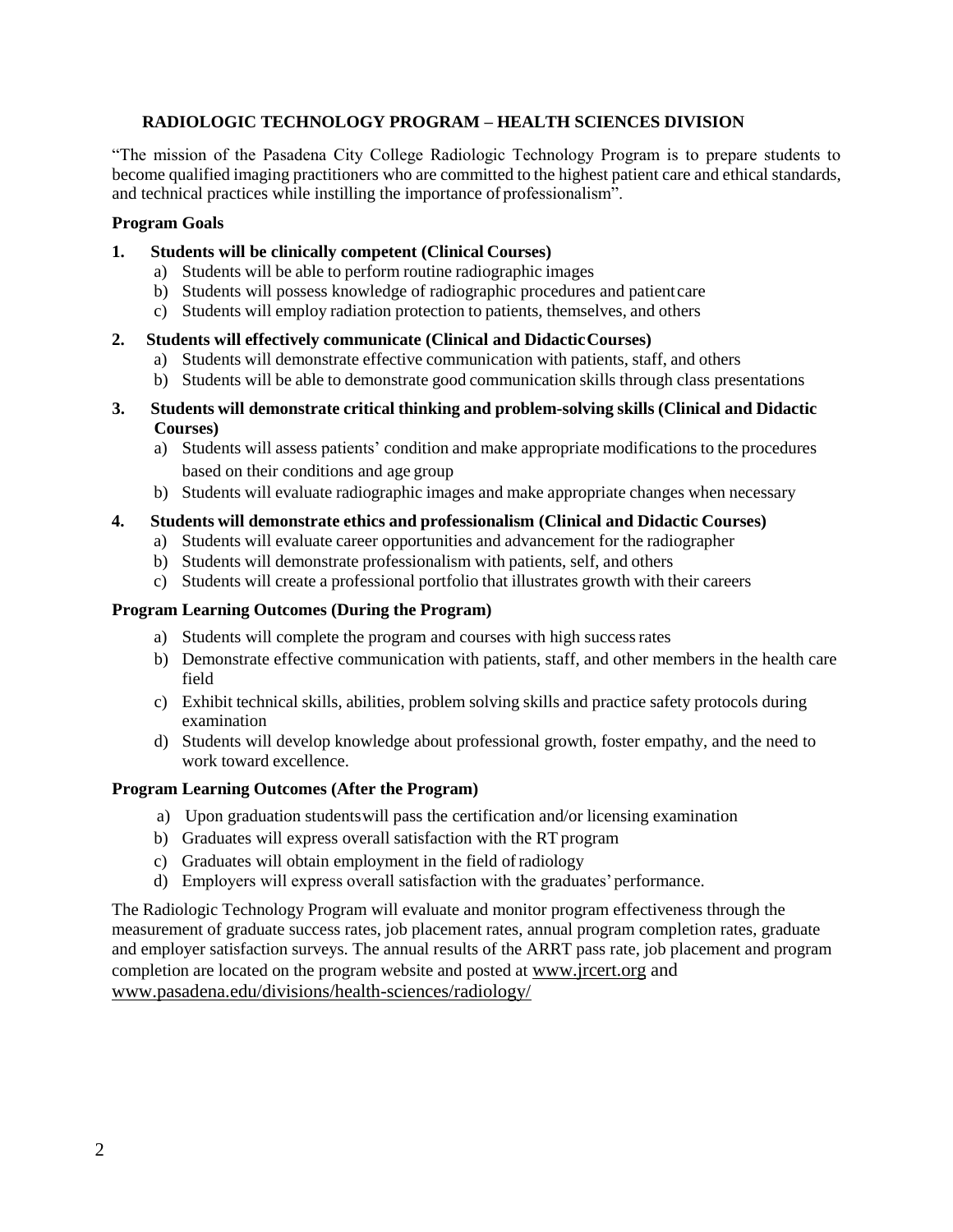### **RADIOLOGIC TECHNOLOGY PROGRAM – HEALTH SCIENCES DIVISION**

"The mission of the Pasadena City College Radiologic Technology Program is to prepare students to become qualified imaging practitioners who are committed to the highest patient care and ethical standards, and technical practices while instilling the importance of professionalism".

#### **Program Goals**

#### **1. Students will be clinically competent (Clinical Courses)**

- a) Students will be able to perform routine radiographic images
- b) Students will possess knowledge of radiographic procedures and patientcare
- c) Students will employ radiation protection to patients, themselves, and others

#### **2. Students will effectively communicate (Clinical and DidacticCourses)**

- a) Students will demonstrate effective communication with patients, staff, and others
- b) Students will be able to demonstrate good communication skills through class presentations
- **3. Students will demonstrate critical thinking and problem-solving skills (Clinical and Didactic Courses)**
	- a) Students will assess patients' condition and make appropriate modifications to the procedures based on their conditions and age group
	- b) Students will evaluate radiographic images and make appropriate changes when necessary

#### **4. Students will demonstrate ethics and professionalism (Clinical and Didactic Courses)**

- a) Students will evaluate career opportunities and advancement for the radiographer
- b) Students will demonstrate professionalism with patients, self, and others
- c) Students will create a professional portfolio that illustrates growth with their careers

### **Program Learning Outcomes (During the Program)**

- a) Students will complete the program and courses with high successrates
- b) Demonstrate effective communication with patients, staff, and other members in the health care field
- c) Exhibit technical skills, abilities, problem solving skills and practice safety protocols during examination
- d) Students will develop knowledge about professional growth, foster empathy, and the need to work toward excellence.

#### **Program Learning Outcomes (After the Program)**

- a) Upon graduation studentswill pass the certification and/or licensing examination
- b) Graduates will express overall satisfaction with the RT program
- c) Graduates will obtain employment in the field ofradiology
- d) Employers will express overall satisfaction with the graduates'performance.

The Radiologic Technology Program will evaluate and monitor program effectiveness through the measurement of graduate success rates, job placement rates, annual program completion rates, graduate and employer satisfaction surveys. The annual results of the ARRT pass rate, job placement and program completion are located on the program website and posted at [www.jrcert.org](http://www.jrcert.org/) and [www.pasadena.edu/divisions/health-sciences/radiology/](http://www.pasadena.edu/divisions/health-sciences/radiology/)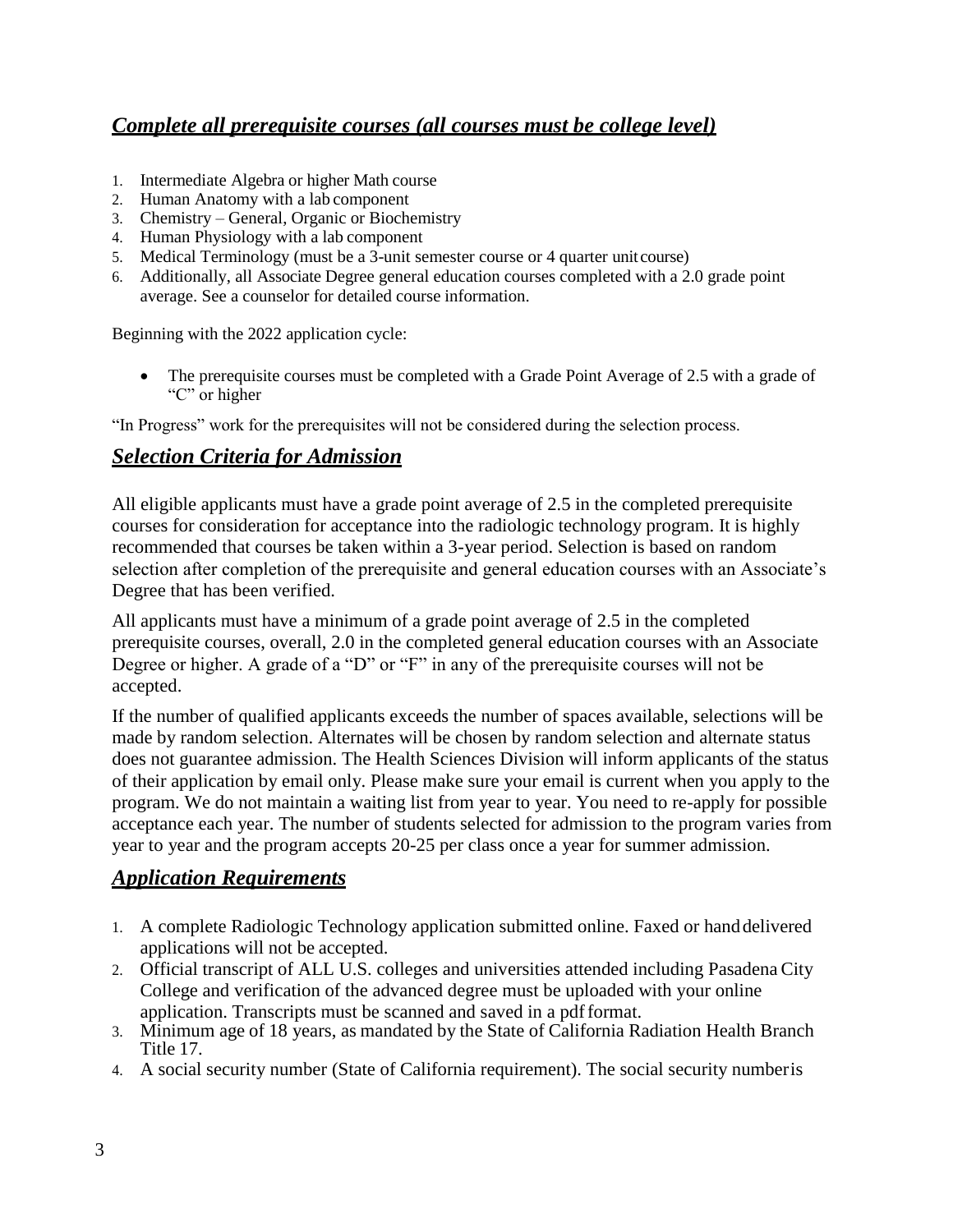# *Complete all prerequisite courses (all courses must be college level)*

- 1. Intermediate Algebra or higher Math course
- 2. Human Anatomy with a lab component
- 3. Chemistry General, Organic or Biochemistry
- 4. Human Physiology with a lab component
- 5. Medical Terminology (must be a 3-unit semester course or 4 quarter unit course)
- 6. Additionally, all Associate Degree general education courses completed with a 2.0 grade point average. See a counselor for detailed course information.

Beginning with the 2022 application cycle:

• The prerequisite courses must be completed with a Grade Point Average of 2.5 with a grade of "C" or higher

"In Progress" work for the prerequisites will not be considered during the selection process.

## *Selection Criteria for Admission*

All eligible applicants must have a grade point average of 2.5 in the completed prerequisite courses for consideration for acceptance into the radiologic technology program. It is highly recommended that courses be taken within a 3-year period. Selection is based on random selection after completion of the prerequisite and general education courses with an Associate's Degree that has been verified.

All applicants must have a minimum of a grade point average of 2.5 in the completed prerequisite courses, overall, 2.0 in the completed general education courses with an Associate Degree or higher. A grade of a "D" or "F" in any of the prerequisite courses will not be accepted.

If the number of qualified applicants exceeds the number of spaces available, selections will be made by random selection. Alternates will be chosen by random selection and alternate status does not guarantee admission. The Health Sciences Division will inform applicants of the status of their application by email only. Please make sure your email is current when you apply to the program. We do not maintain a waiting list from year to year. You need to re-apply for possible acceptance each year. The number of students selected for admission to the program varies from year to year and the program accepts 20-25 per class once a year for summer admission.

## *Application Requirements*

- 1. A complete Radiologic Technology application submitted online. Faxed or handdelivered applications will not be accepted.
- 2. Official transcript of ALL U.S. colleges and universities attended including Pasadena City College and verification of the advanced degree must be uploaded with your online application. Transcripts must be scanned and saved in a pdfformat.
- 3. Minimum age of 18 years, as mandated by the State of California Radiation Health Branch Title 17.
- 4. A social security number (State of California requirement). The social security numberis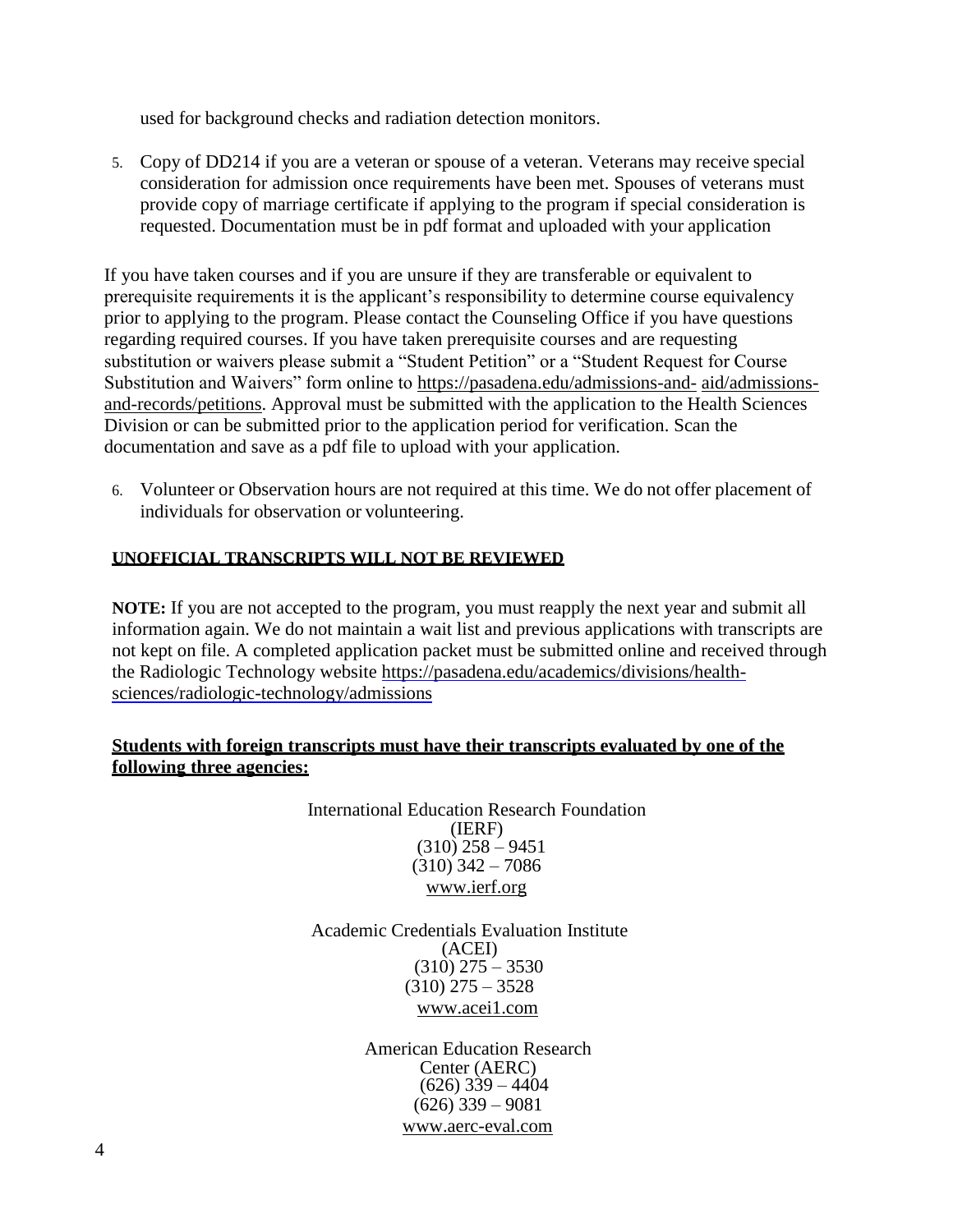used for background checks and radiation detection monitors.

5. Copy of DD214 if you are a veteran or spouse of a veteran. Veterans may receive special consideration for admission once requirements have been met. Spouses of veterans must provide copy of marriage certificate if applying to the program if special consideration is requested. Documentation must be in pdf format and uploaded with your application

If you have taken courses and if you are unsure if they are transferable or equivalent to prerequisite requirements it is the applicant's responsibility to determine course equivalency prior to applying to the program. Please contact the Counseling Office if you have questions regarding required courses. If you have taken prerequisite courses and are requesting substitution or waivers please submit a "Student Petition" or a "Student Request for Course Substitution and Waivers" form online to [https://pasadena.edu/admissions-and-](https://pasadena.edu/admissions-and-aid/admissions-and-records/petitions.php) [aid/admissions](https://pasadena.edu/admissions-and-aid/admissions-and-records/petitions.php)[and-records/petitions.](https://pasadena.edu/admissions-and-aid/admissions-and-records/petitions.php) Approval must be submitted with the application to the Health Sciences Division or can be submitted prior to the application period for verification. Scan the documentation and save as a pdf file to upload with your application.

6. Volunteer or Observation hours are not required at this time. We do not offer placement of individuals for observation or volunteering.

## **UNOFFICIAL TRANSCRIPTS WILL NOT BE REVIEWED**

**NOTE:** If you are not accepted to the program, you must reapply the next year and submit all information again. We do not maintain a wait list and previous applications with transcripts are not kept on file. A completed application packet must be submitted online and received through the Radiologic Technology website [https://pasadena.edu/academics/divisions/health](https://pasadena.edu/academics/divisions/health-sciences/radiologic-technology/admissions)[sciences/radiologic-technology/admissions](https://pasadena.edu/academics/divisions/health-sciences/radiologic-technology/admissions)

## **Students with foreign transcripts must have their transcripts evaluated by one of the following three agencies:**

International Education Research Foundation (IERF)  $(310)$  258 – 9451  $(310)$  342 – 7086 [www.ierf.org](http://www.ierf.org/)

Academic Credentials Evaluation Institute (ACEI)  $(310)$  275 – 3530 (310) 275 – 3528 [www.acei1.com](http://www.acei1.com/)

> American Education Research Center (AERC)  $(626)$  339 – 4404  $(626)$  339 – 9081 [www.aerc-eval.com](http://www.aerc-eval.com/)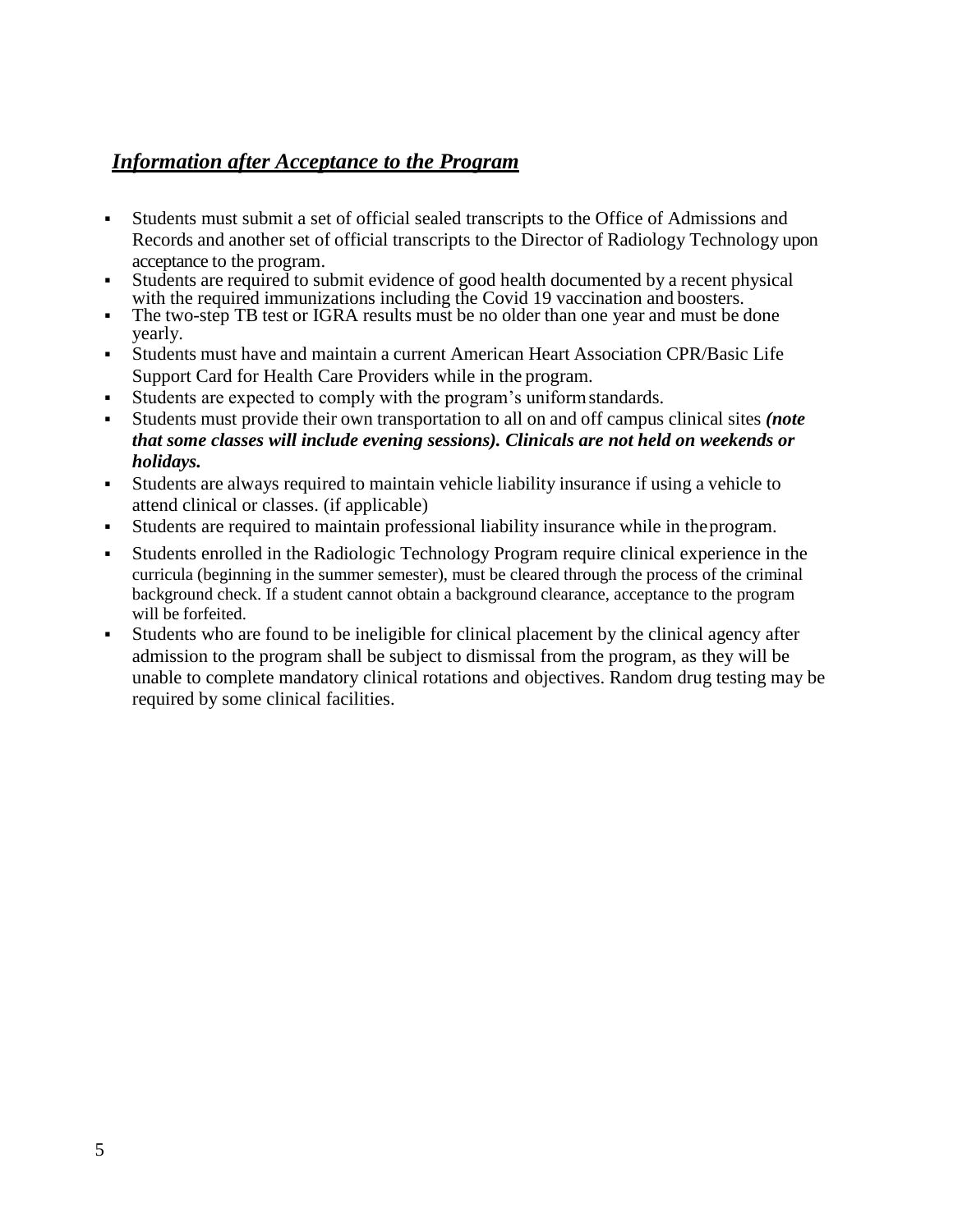# *Information after Acceptance to the Program*

- Students must submit a set of official sealed transcripts to the Office of Admissions and Records and another set of official transcripts to the Director of Radiology Technology upon acceptance to the program.
- Students are required to submit evidence of good health documented by a recent physical with the required immunizations including the Covid 19 vaccination and boosters.
- The two-step TB test or IGRA results must be no older than one year and must be done yearly.
- Students must have and maintain a current American Heart Association CPR/Basic Life Support Card for Health Care Providers while in the program.
- Students are expected to comply with the program's uniform standards.
- Students must provide their own transportation to all on and off campus clinical sites *(note that some classes will include evening sessions). Clinicals are not held on weekends or holidays.*
- Students are always required to maintain vehicle liability insurance if using a vehicle to attend clinical or classes. (if applicable)
- Students are required to maintain professional liability insurance while in the program.
- Students enrolled in the Radiologic Technology Program require clinical experience in the curricula (beginning in the summer semester), must be cleared through the process of the criminal background check. If a student cannot obtain a background clearance, acceptance to the program will be forfeited.
- Students who are found to be ineligible for clinical placement by the clinical agency after admission to the program shall be subject to dismissal from the program, as they will be unable to complete mandatory clinical rotations and objectives. Random drug testing may be required by some clinical facilities.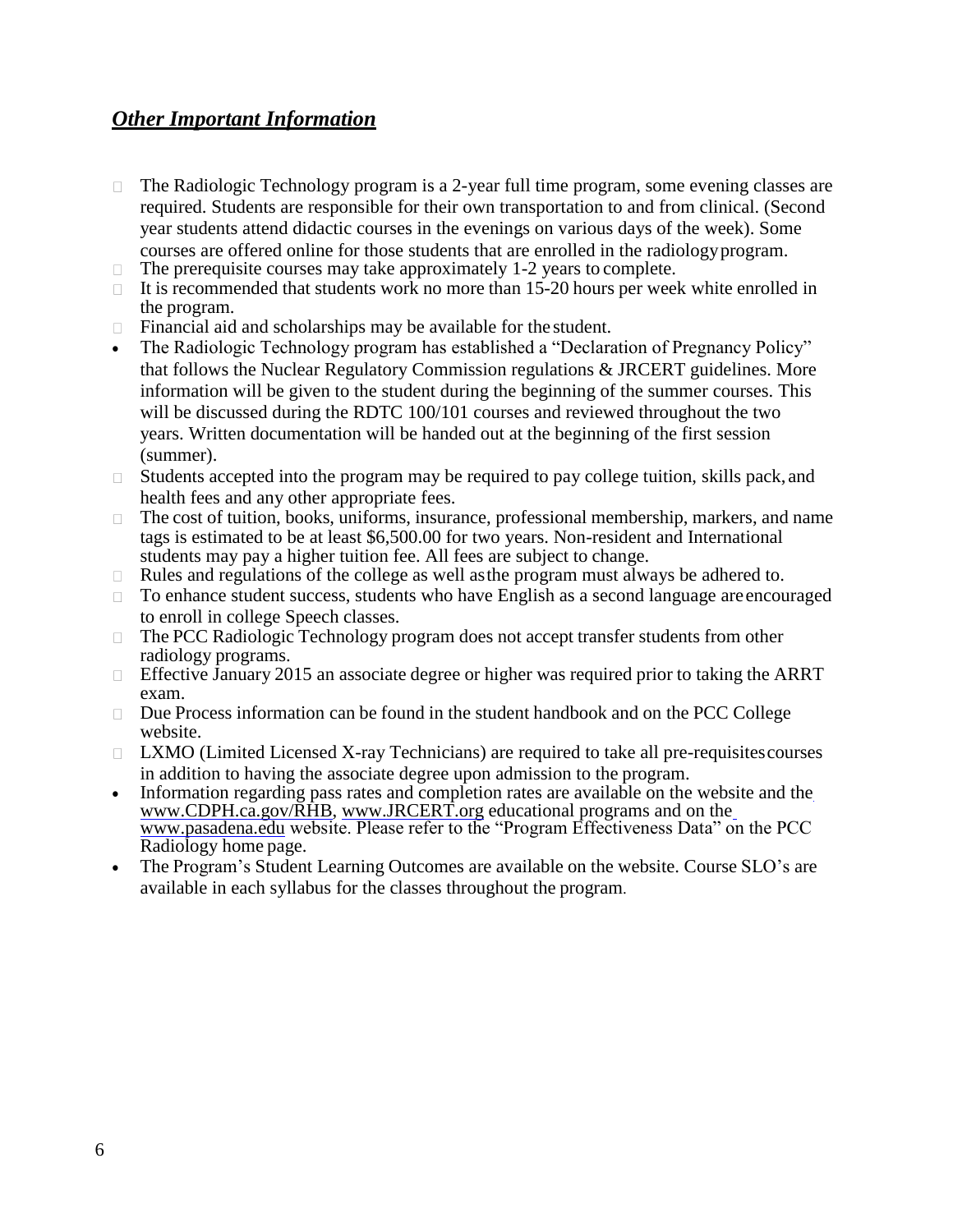## *Other Important Information*

- The Radiologic Technology program is a 2-year full time program, some evening classes are  $\Box$ required. Students are responsible for their own transportation to and from clinical. (Second year students attend didactic courses in the evenings on various days of the week). Some courses are offered online for those students that are enrolled in the radiologyprogram.
- The prerequisite courses may take approximately 1-2 years to complete.  $\Box$
- $\Box$  It is recommended that students work no more than 15-20 hours per week white enrolled in the program.
- Financial aid and scholarships may be available for the student.  $\Box$
- The Radiologic Technology program has established a "Declaration of Pregnancy Policy" that follows the Nuclear Regulatory Commission regulations & JRCERT guidelines. More information will be given to the student during the beginning of the summer courses. This will be discussed during the RDTC 100/101 courses and reviewed throughout the two years. Written documentation will be handed out at the beginning of the first session (summer).
- $\Box$ Students accepted into the program may be required to pay college tuition, skills pack, and health fees and any other appropriate fees.
- The cost of tuition, books, uniforms, insurance, professional membership, markers, and name  $\Box$ tags is estimated to be at least \$6,500.00 for two years. Non-resident and International students may pay a higher tuition fee. All fees are subject to change.
- Rules and regulations of the college as well asthe program must always be adhered to.  $\Box$
- To enhance student success, students who have English as a second language areencouraged  $\Box$ to enroll in college Speech classes.
- The PCC Radiologic Technology program does not accept transfer students from other  $\Box$ radiology programs.
- Effective January 2015 an associate degree or higher was required prior to taking the ARRT  $\Box$ exam.
- Due Process information can be found in the student handbook and on the PCC College website.
- $\Box$  LXMO (Limited Licensed X-ray Technicians) are required to take all pre-requisites courses in addition to having the associate degree upon admission to the program.
- Information r[e](http://www.cdph.ca.gov/RHB)garding pass rates and completion rates are available on the website and the [www.CDPH.ca.gov/RHB,](http://www.cdph.ca.gov/RHB) [www.JRCERT.org](http://www.jrcert.org/) [e](http://www.pasadena.edu/)ducational programs and on the [www.pasadena.edu](http://www.pasadena.edu/) website. Please refer to the "Program Effectiveness Data" on the PCC Radiology home page.
- The Program's Student Learning Outcomes are available on the website. Course SLO's are available in each syllabus for the classes throughout the program.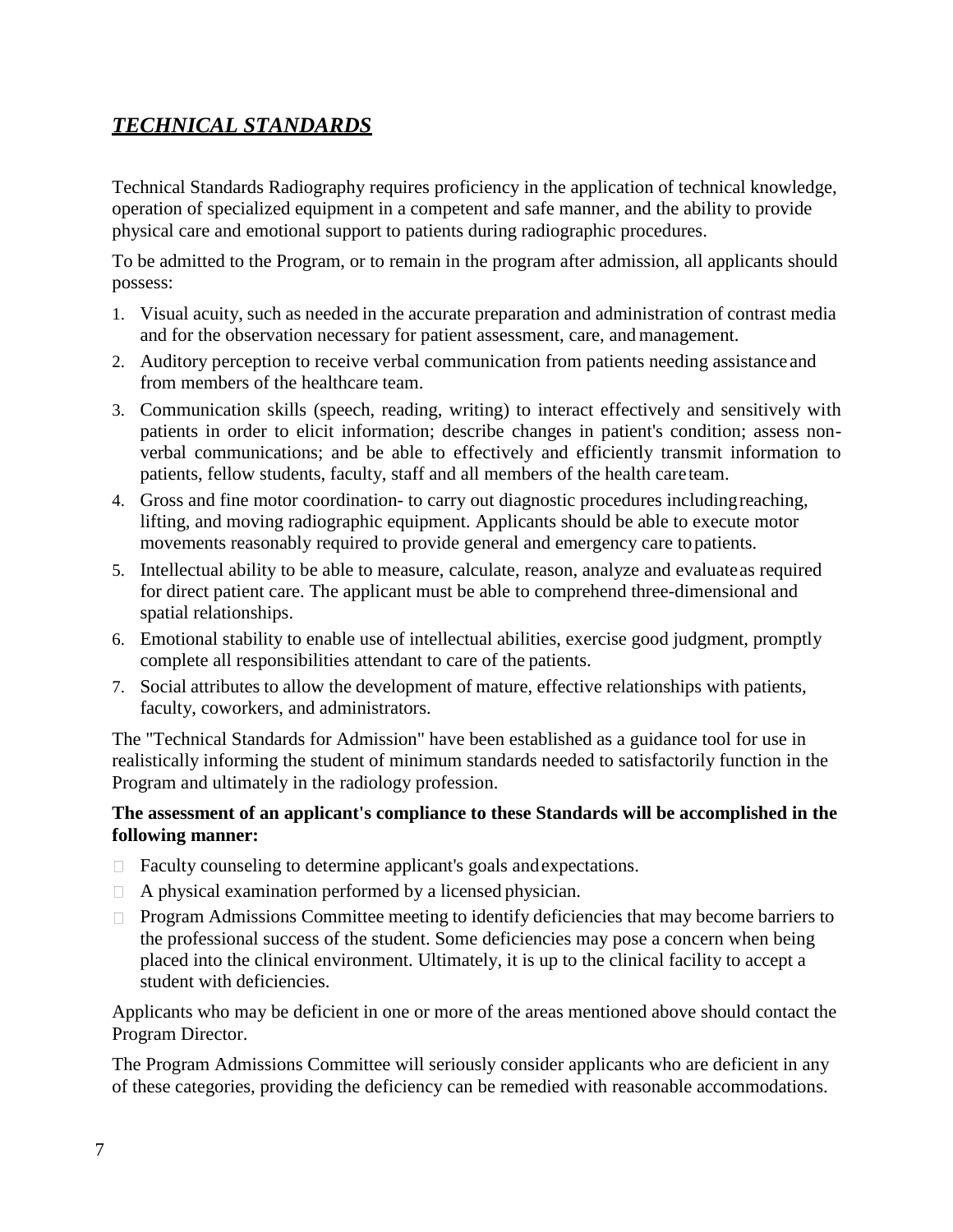# *TECHNICAL STANDARDS*

Technical Standards Radiography requires proficiency in the application of technical knowledge, operation of specialized equipment in a competent and safe manner, and the ability to provide physical care and emotional support to patients during radiographic procedures.

To be admitted to the Program, or to remain in the program after admission, all applicants should possess:

- 1. Visual acuity, such as needed in the accurate preparation and administration of contrast media and for the observation necessary for patient assessment, care, and management.
- 2. Auditory perception to receive verbal communication from patients needing assistance and from members of the healthcare team.
- 3. Communication skills (speech, reading, writing) to interact effectively and sensitively with patients in order to elicit information; describe changes in patient's condition; assess nonverbal communications; and be able to effectively and efficiently transmit information to patients, fellow students, faculty, staff and all members of the health careteam.
- 4. Gross and fine motor coordination- to carry out diagnostic procedures includingreaching, lifting, and moving radiographic equipment. Applicants should be able to execute motor movements reasonably required to provide general and emergency care topatients.
- 5. Intellectual ability to be able to measure, calculate, reason, analyze and evaluateas required for direct patient care. The applicant must be able to comprehend three-dimensional and spatial relationships.
- 6. Emotional stability to enable use of intellectual abilities, exercise good judgment, promptly complete all responsibilities attendant to care of the patients.
- 7. Social attributes to allow the development of mature, effective relationships with patients, faculty, coworkers, and administrators.

The "Technical Standards for Admission" have been established as a guidance tool for use in realistically informing the student of minimum standards needed to satisfactorily function in the Program and ultimately in the radiology profession.

## **The assessment of an applicant's compliance to these Standards will be accomplished in the following manner:**

- Faculty counseling to determine applicant's goals andexpectations.
- $\Box$  A physical examination performed by a licensed physician.
- **Program Admissions Committee meeting to identify deficiencies that may become barriers to** the professional success of the student. Some deficiencies may pose a concern when being placed into the clinical environment. Ultimately, it is up to the clinical facility to accept a student with deficiencies.

Applicants who may be deficient in one or more of the areas mentioned above should contact the Program Director.

The Program Admissions Committee will seriously consider applicants who are deficient in any of these categories, providing the deficiency can be remedied with reasonable accommodations.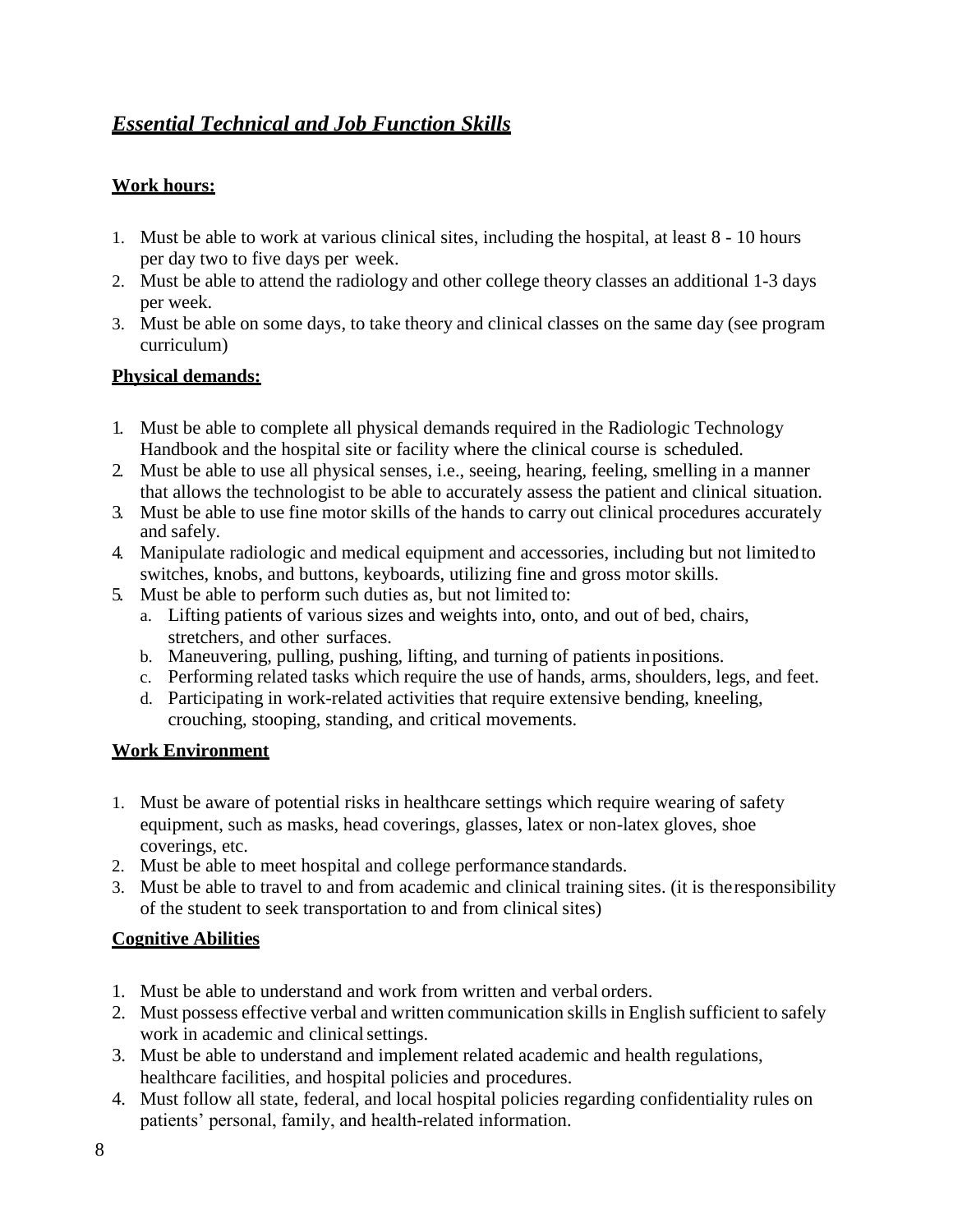# *Essential Technical and Job Function Skills*

## **Work hours:**

- 1. Must be able to work at various clinical sites, including the hospital, at least 8 10 hours per day two to five days per week.
- 2. Must be able to attend the radiology and other college theory classes an additional 1-3 days per week.
- 3. Must be able on some days, to take theory and clinical classes on the same day (see program curriculum)

## **Physical demands:**

- 1. Must be able to complete all physical demands required in the Radiologic Technology Handbook and the hospital site or facility where the clinical course is scheduled.
- 2. Must be able to use all physical senses, i.e., seeing, hearing, feeling, smelling in a manner that allows the technologist to be able to accurately assess the patient and clinical situation.
- 3. Must be able to use fine motor skills of the hands to carry out clinical procedures accurately and safely.
- 4. Manipulate radiologic and medical equipment and accessories, including but not limitedto switches, knobs, and buttons, keyboards, utilizing fine and gross motor skills.
- 5. Must be able to perform such duties as, but not limited to:
	- a. Lifting patients of various sizes and weights into, onto, and out of bed, chairs, stretchers, and other surfaces.
	- b. Maneuvering, pulling, pushing, lifting, and turning of patients inpositions.
	- c. Performing related tasks which require the use of hands, arms, shoulders, legs, and feet.
	- d. Participating in work-related activities that require extensive bending, kneeling, crouching, stooping, standing, and critical movements.

## **Work Environment**

- 1. Must be aware of potential risks in healthcare settings which require wearing of safety equipment, such as masks, head coverings, glasses, latex or non-latex gloves, shoe coverings, etc.
- 2. Must be able to meet hospital and college performance standards.
- 3. Must be able to travel to and from academic and clinical training sites. (it is theresponsibility of the student to seek transportation to and from clinical sites)

## **Cognitive Abilities**

- 1. Must be able to understand and work from written and verbal orders.
- 2. Must possess effective verbal and written communication skills in English sufficient to safely work in academic and clinical settings.
- 3. Must be able to understand and implement related academic and health regulations, healthcare facilities, and hospital policies and procedures.
- 4. Must follow all state, federal, and local hospital policies regarding confidentiality rules on patients' personal, family, and health-related information.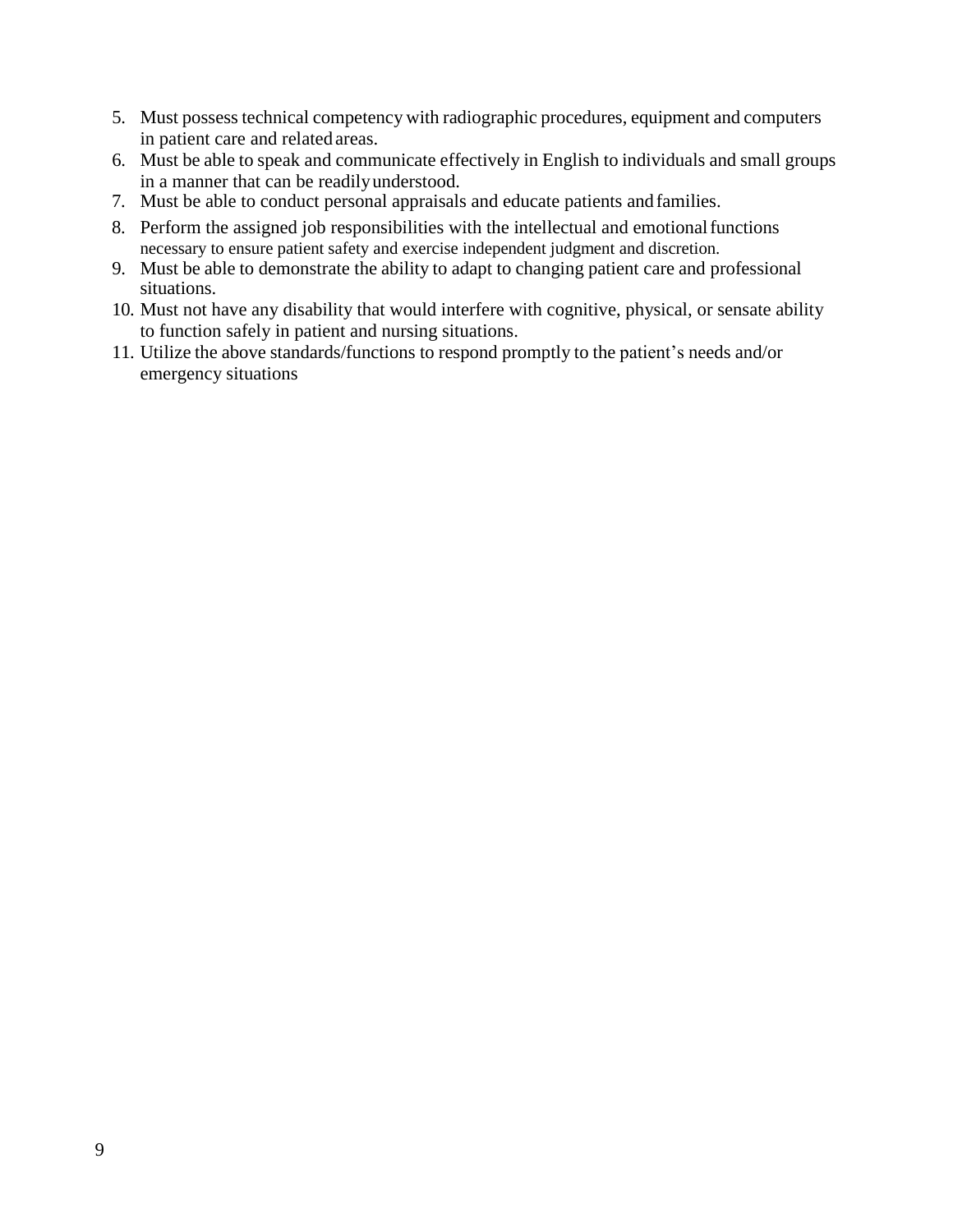- 5. Must possesstechnical competency with radiographic procedures, equipment and computers in patient care and related areas.
- 6. Must be able to speak and communicate effectively in English to individuals and small groups in a manner that can be readilyunderstood.
- 7. Must be able to conduct personal appraisals and educate patients andfamilies.
- 8. Perform the assigned job responsibilities with the intellectual and emotional functions necessary to ensure patient safety and exercise independent judgment and discretion.
- 9. Must be able to demonstrate the ability to adapt to changing patient care and professional situations.
- 10. Must not have any disability that would interfere with cognitive, physical, or sensate ability to function safely in patient and nursing situations.
- 11. Utilize the above standards/functions to respond promptly to the patient's needs and/or emergency situations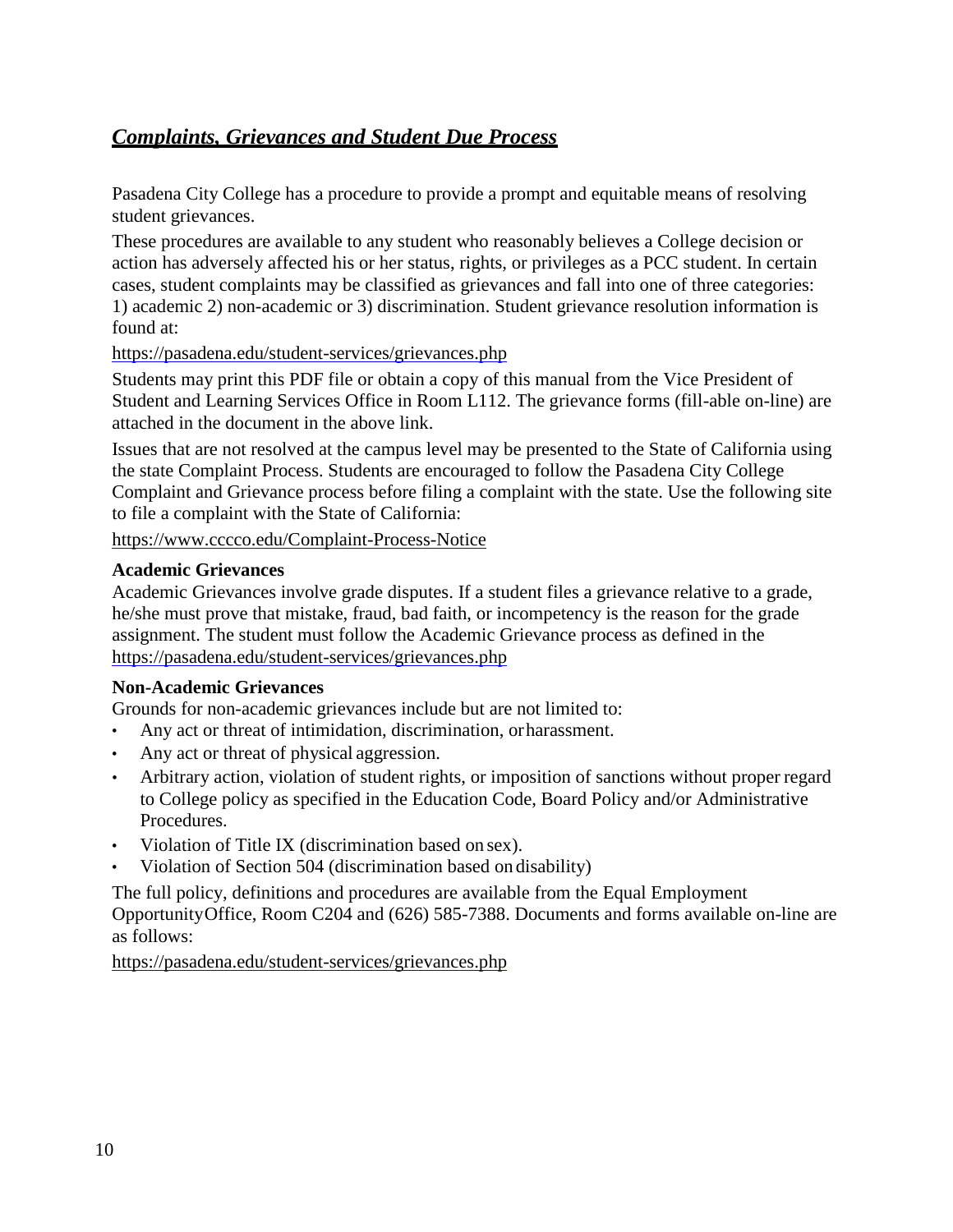# *Complaints, Grievances and Student Due Process*

Pasadena City College has a procedure to provide a prompt and equitable means of resolving student grievances.

These procedures are available to any student who reasonably believes a College decision or action has adversely affected his or her status, rights, or privileges as a PCC student. In certain cases, student complaints may be classified as grievances and fall into one of three categories: 1) academic 2) non-academic or 3) discrimination. Student grievance resolution information is found at:

## <https://pasadena.edu/student-services/grievances.php>

Students may print this PDF file or obtain a copy of this manual from the Vice President of Student and Learning Services Office in Room L112. The grievance forms (fill-able on-line) are attached in the document in the above link.

Issues that are not resolved at the campus level may be presented to the State of California using the state Complaint Process. Students are encouraged to follow the Pasadena City College Complaint and Grievance process before filing a complaint with the state. Use the following site to file a complaint with the State of California:

<https://www.cccco.edu/Complaint-Process-Notice>

## **Academic Grievances**

Academic Grievances involve grade disputes. If a student files a grievance relative to a grade, he/she must prove that mistake, fraud, bad faith, or incompetency is the reason for the grade assignment. The student must follow the Academic Grievance process as defined in the <https://pasadena.edu/student-services/grievances.php>

## **Non-Academic Grievances**

Grounds for non-academic grievances include but are not limited to:

- Any act or threat of intimidation, discrimination, orharassment.
- Any act or threat of physical aggression.
- Arbitrary action, violation of student rights, or imposition of sanctions without proper regard to College policy as specified in the Education Code, Board Policy and/or Administrative Procedures.
- Violation of Title IX (discrimination based on sex).
- Violation of Section 504 (discrimination based on disability)

The full policy, definitions and procedures are available from the Equal Employment OpportunityOffice, Room C204 and (626) 585-7388. Documents and forms available on-line are as follows:

<https://pasadena.edu/student-services/grievances.php>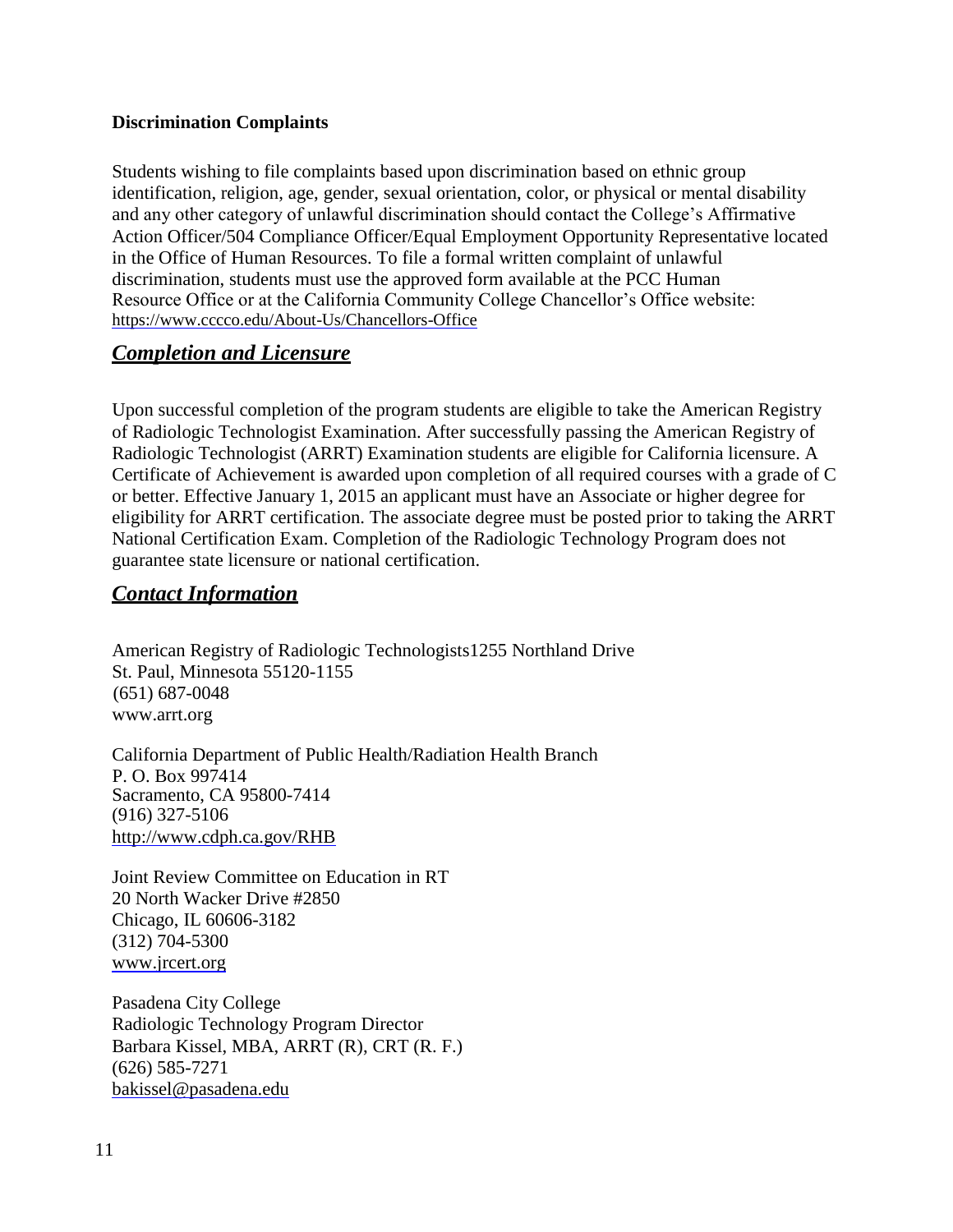## **Discrimination Complaints**

Students wishing to file complaints based upon discrimination based on ethnic group identification, religion, age, gender, sexual orientation, color, or physical or mental disability and any other category of unlawful discrimination should contact the College's Affirmative Action Officer/504 Compliance Officer/Equal Employment Opportunity Representative located in the Office of Human Resources. To file a formal written complaint of unlawful discrimination, students must use the approved form available at the PCC Human Resource Office or at the California Community College Chancellor's Office website: <https://www.cccco.edu/About-Us/Chancellors-Office>

## *Completion and Licensure*

Upon successful completion of the program students are eligible to take the American Registry of Radiologic Technologist Examination. After successfully passing the American Registry of Radiologic Technologist (ARRT) Examination students are eligible for California licensure. A Certificate of Achievement is awarded upon completion of all required courses with a grade of C or better. Effective January 1, 2015 an applicant must have an Associate or higher degree for eligibility for ARRT certification. The associate degree must be posted prior to taking the ARRT National Certification Exam. Completion of the Radiologic Technology Program does not guarantee state licensure or national certification.

## *Contact Information*

American Registry of Radiologic Technologists1255 Northland Drive St. Paul, Minnesota 55120-1155 (651) 687-0048 [www.arrt.org](http://www.arrt.org/)

California Department of Public Health/Radiation Health Branch P. O. Box 997414 Sacramento, CA 95800-7414 (916) 327-5106 <http://www.cdph.ca.gov/>RHB

Joint Review Committee on Education in RT 20 North Wacker Drive #2850 Chicago, IL 60606-3182 (312) 704-5300 [www.jrcert.org](http://www.jrcert.org/)

Pasadena City College Radiologic Technology Program Director Barbara Kissel, MBA, ARRT (R), CRT (R. F.) (626) 585-7271 [bakissel@pasadena.edu](mailto:bakissel@pasadena.edu)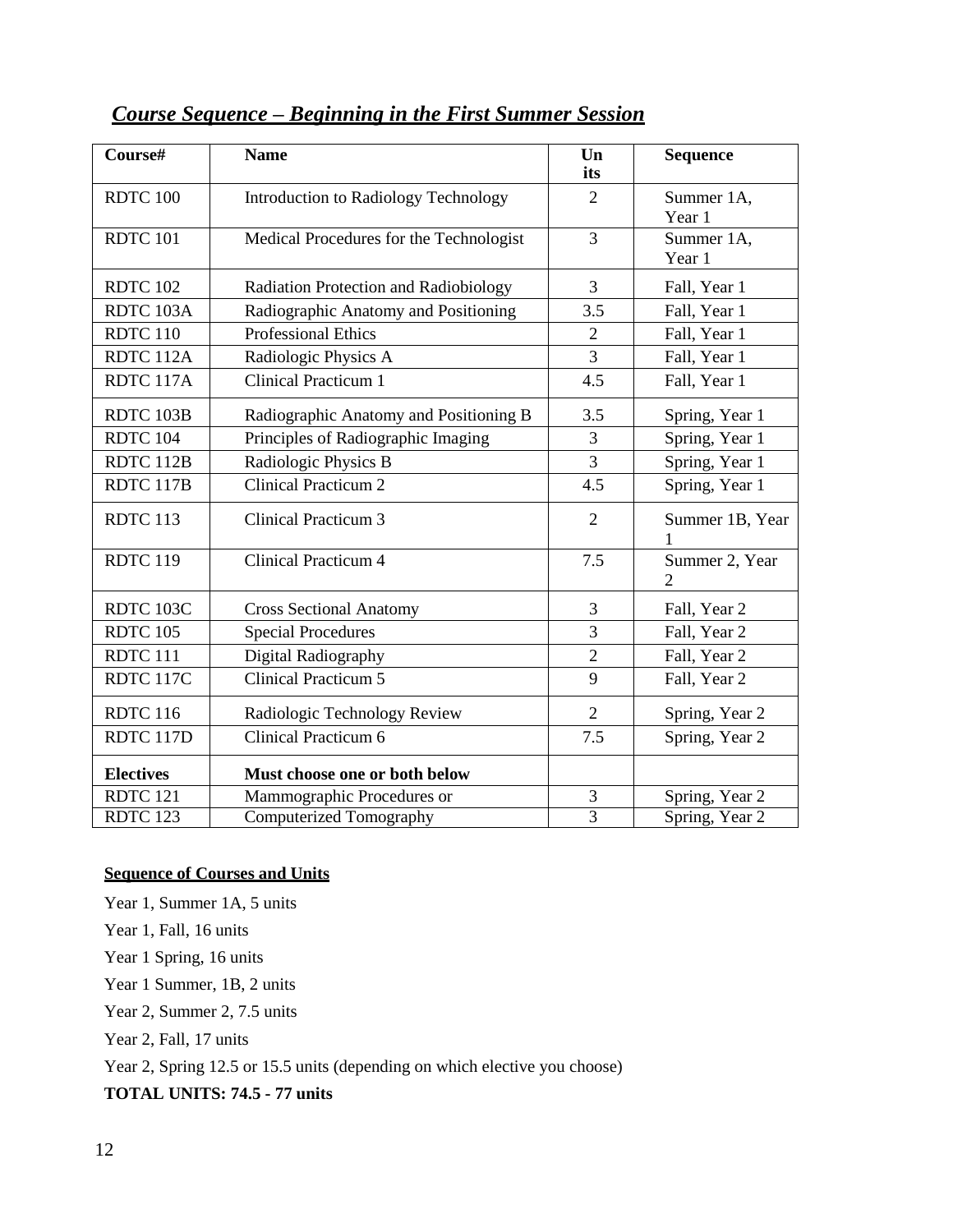| Course#             | <b>Name</b>                             | $\mathbf{U}\mathbf{n}$<br>its | <b>Sequence</b>                  |
|---------------------|-----------------------------------------|-------------------------------|----------------------------------|
| RDTC 100            | Introduction to Radiology Technology    | $\overline{2}$                | Summer 1A,<br>Year 1             |
| RDTC 101            | Medical Procedures for the Technologist | $\overline{3}$                | Summer 1A,<br>Year 1             |
| RDTC 102            | Radiation Protection and Radiobiology   | 3                             | Fall, Year 1                     |
| RDTC 103A           | Radiographic Anatomy and Positioning    | 3.5                           | Fall, Year 1                     |
| RDTC <sub>110</sub> | <b>Professional Ethics</b>              | $\overline{2}$                | Fall, Year 1                     |
| RDTC 112A           | Radiologic Physics A                    | $\overline{3}$                | Fall, Year 1                     |
| RDTC 117A           | <b>Clinical Practicum 1</b>             | 4.5                           | Fall, Year 1                     |
| RDTC 103B           | Radiographic Anatomy and Positioning B  | 3.5                           | Spring, Year 1                   |
| RDTC 104            | Principles of Radiographic Imaging      | 3                             | Spring, Year 1                   |
| RDTC 112B           | Radiologic Physics B                    | $\overline{3}$                | Spring, Year 1                   |
| RDTC 117B           | <b>Clinical Practicum 2</b>             | 4.5                           | Spring, Year 1                   |
| RDTC 113            | <b>Clinical Practicum 3</b>             | $\overline{2}$                | Summer 1B, Year                  |
| <b>RDTC 119</b>     | Clinical Practicum 4                    | 7.5                           | Summer 2, Year<br>$\overline{2}$ |
| RDTC 103C           | <b>Cross Sectional Anatomy</b>          | 3                             | Fall, Year 2                     |
| <b>RDTC 105</b>     | <b>Special Procedures</b>               | $\overline{3}$                | Fall, Year 2                     |
| RDTC <sub>111</sub> | Digital Radiography                     | $\overline{2}$                | Fall, Year 2                     |
| RDTC 117C           | <b>Clinical Practicum 5</b>             | 9                             | Fall, Year 2                     |
| <b>RDTC 116</b>     | Radiologic Technology Review            | $\overline{2}$                | Spring, Year 2                   |
| RDTC 117D           | Clinical Practicum 6                    | 7.5                           | Spring, Year 2                   |
| <b>Electives</b>    | Must choose one or both below           |                               |                                  |
| RDTC <sub>121</sub> | Mammographic Procedures or              | 3                             | Spring, Year 2                   |
| RDTC <sub>123</sub> | <b>Computerized Tomography</b>          | $\overline{3}$                | Spring, Year 2                   |

# *Course Sequence – Beginning in the First Summer Session*

## **Sequence of Courses and Units**

Year 1, Summer 1A, 5 units

Year 1, Fall, 16 units

Year 1 Spring, 16 units

Year 1 Summer, 1B, 2 units

Year 2, Summer 2, 7.5 units

Year 2, Fall, 17 units

Year 2, Spring 12.5 or 15.5 units (depending on which elective you choose)

**TOTAL UNITS: 74.5 - 77 units**